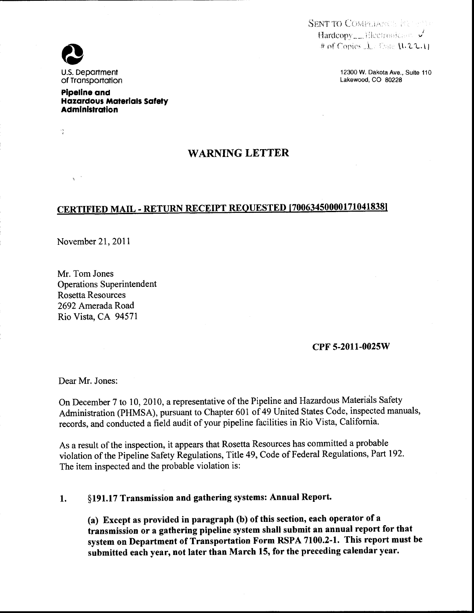SENT TO COMPLIANCE FERMINE  $\text{Hardcopy}\_\text{Nlectromicase}~\checkmark$ # of Copies  $\mathbf{1}$  Unter  $\mathbf{11.22.1}$ .

> 12300 W. Dakota Ave., Suite 110 Lakewood, CO 80228



 $\frac{1}{2}$ 

 $\sqrt{2}$ 

u.s. Department of Transportation

**Pipeline and Hazardous Materials Safety Administration** 

## WARNING LETTER

## CERTIFIED MAIL- RETURN RECEIPT REQUESTED [700634500001710418381

November 21, 2011

Mr. Tom Jones Operations Superintendent Rosetta Resources 2692 Amerada Road Rio Vista, CA 94571

## CPF 5-2011-0025W

Dear Mr. Jones:

On December 7 to 10, 2010, a representative of the Pipeline and Hazardous Materials Safety Administration (PHMSA), pursuant to Chapter 601 of 49 United States Code, inspected manuals, records, and conducted a field audit of your pipeline facilities in Rio Vista, California.

As a result of the inspection, it appears that Rosetta Resources has committed a probable violation of the Pipeline Safety Regulations, Title 49, Code of Federal Regulations, Part 192. The item inspected and the probable violation is:

1. §191.17 Transmission and gathering systems: Annual Report.

(a) Except as provided in paragraph (b) of this section, each operator of a transmission or a gathering pipeline system shall submit an annual report for that system on Department of Transportation Form RSPA 7100.2-1. This report must be submitted each year, not later than March 15, for the preceding calendar year.